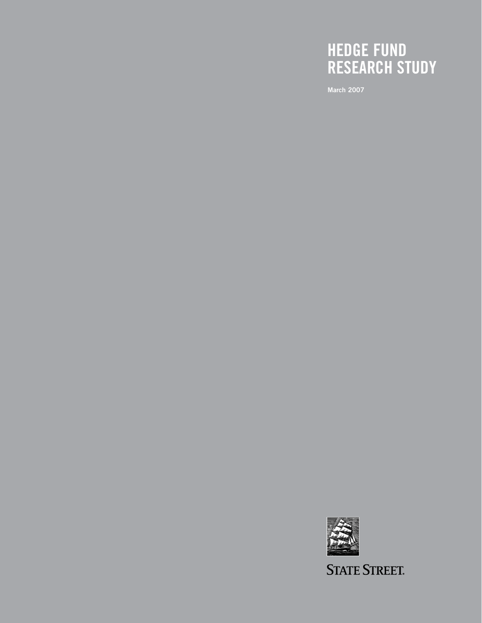# **HEDGE FUND RESEARCH STUDY**

**March 2007**



**STATE STREET.**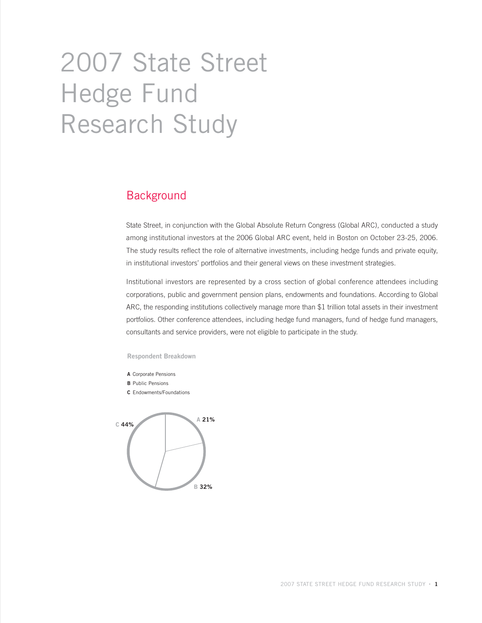# 2007 State Street Hedge Fund Research Study

## **Background**

State Street, in conjunction with the Global Absolute Return Congress (Global ARC), conducted a study among institutional investors at the 2006 Global ARC event, held in Boston on October 23-25, 2006. The study results reflect the role of alternative investments, including hedge funds and private equity, in institutional investors' portfolios and their general views on these investment strategies.

Institutional investors are represented by a cross section of global conference attendees including corporations, public and government pension plans, endowments and foundations. According to Global ARC, the responding institutions collectively manage more than \$1 trillion total assets in their investment portfolios. Other conference attendees, including hedge fund managers, fund of hedge fund managers, consultants and service providers, were not eligible to participate in the study.

#### **Respondent Breakdown**

- **A** Corporate Pensions
- **B** Public Pensions
- **C** Endowments/Foundations

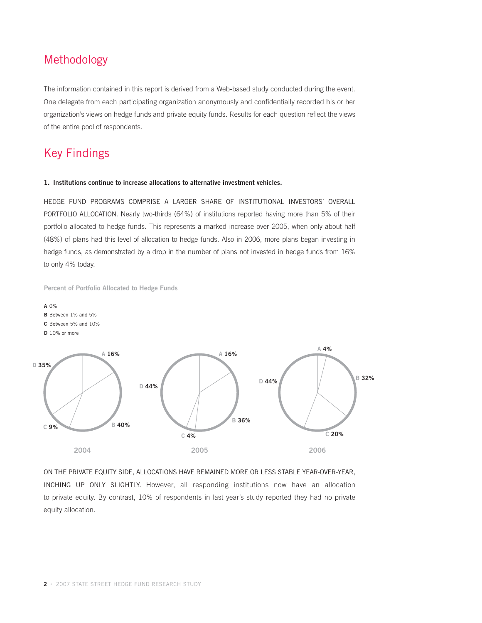## Methodology

The information contained in this report is derived from a Web-based study conducted during the event. One delegate from each participating organization anonymously and confidentially recorded his or her organization's views on hedge funds and private equity funds. Results for each question reflect the views of the entire pool of respondents.

## Key Findings

#### **1. Institutions continue to increase allocations to alternative investment vehicles.**

HEDGE FUND PROGRAMS COMPRISE A LARGER SHARE OF INSTITUTIONAL INVESTORS' OVERALL PORTFOLIO ALLOCATION. Nearly two-thirds (64%) of institutions reported having more than 5% of their portfolio allocated to hedge funds. This represents a marked increase over 2005, when only about half (48%) of plans had this level of allocation to hedge funds. Also in 2006, more plans began investing in hedge funds, as demonstrated by a drop in the number of plans not invested in hedge funds from 16% to only 4% today.

**Percent of Portfolio Allocated to Hedge Funds**



- **B** Between 1% and 5%
- **C** Between 5% and 10%
- **D** 10% or more



ON THE PRIVATE EQUITY SIDE, ALLOCATIONS HAVE REMAINED MORE OR LESS STABLE YEAR-OVER-YEAR, INCHING UP ONLY SLIGHTLY. However, all responding institutions now have an allocation to private equity. By contrast, 10% of respondents in last year's study reported they had no private equity allocation.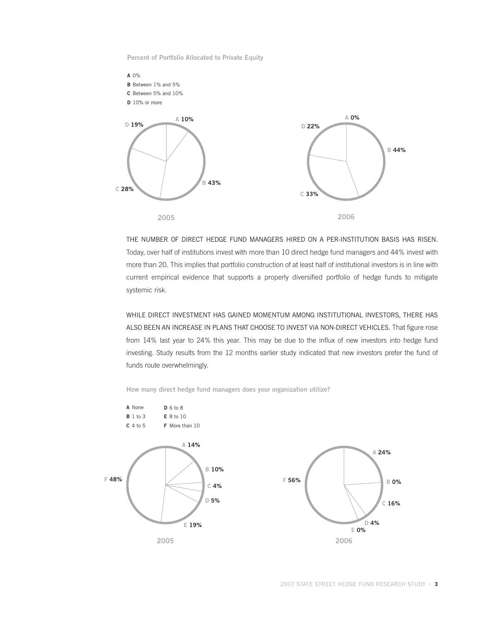**Percent of Portfolio Allocated to Private Equity**



THE NUMBER OF DIRECT HEDGE FUND MANAGERS HIRED ON A PER-INSTITUTION BASIS HAS RISEN. Today, over half of institutions invest with more than 10 direct hedge fund managers and 44% invest with more than 20. This implies that portfolio construction of at least half of institutional investors is in line with current empirical evidence that supports a properly diversified portfolio of hedge funds to mitigate systemic risk.

WHILE DIRECT INVESTMENT HAS GAINED MOMENTUM AMONG INSTITUTIONAL INVESTORS, THERE HAS ALSO BEEN AN INCREASE IN PLANS THAT CHOOSE TO INVEST VIA NON-DIRECT VEHICLES. That figure rose from 14% last year to 24% this year. This may be due to the influx of new investors into hedge fund investing. Study results from the 12 months earlier study indicated that new investors prefer the fund of funds route overwhelmingly.



**How many direct hedge fund managers does your organization utilize?**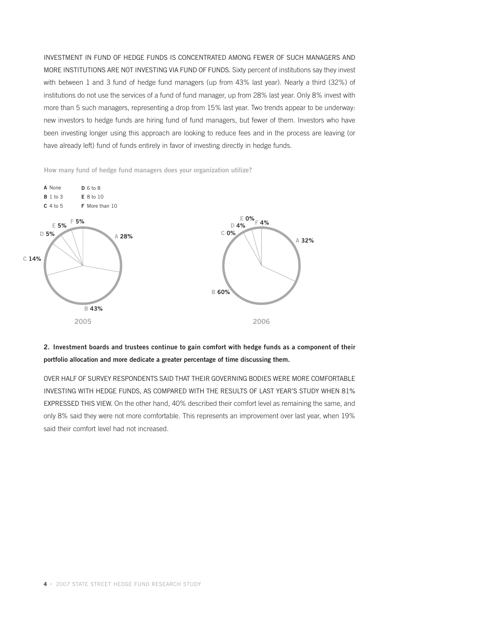INVESTMENT IN FUND OF HEDGE FUNDS IS CONCENTRATED AMONG FEWER OF SUCH MANAGERS AND MORE INSTITUTIONS ARE NOT INVESTING VIA FUND OF FUNDS. Sixty percent of institutions say they invest with between 1 and 3 fund of hedge fund managers (up from 43% last year). Nearly a third (32%) of institutions do not use the services of a fund of fund manager, up from 28% last year. Only 8% invest with more than 5 such managers, representing a drop from 15% last year. Two trends appear to be underway: new investors to hedge funds are hiring fund of fund managers, but fewer of them. Investors who have been investing longer using this approach are looking to reduce fees and in the process are leaving (or have already left) fund of funds entirely in favor of investing directly in hedge funds.

**How many fund of hedge fund managers does your organization utilize?**



## **2. Investment boards and trustees continue to gain comfort with hedge funds as a component of their portfolio allocation and more dedicate a greater percentage of time discussing them.**

OVER HALF OF SURVEY RESPONDENTS SAID THAT THEIR GOVERNING BODIES WERE MORE COMFORTABLE INVESTING WITH HEDGE FUNDS, AS COMPARED WITH THE RESULTS OF LAST YEAR'S STUDY WHEN 81% EXPRESSED THIS VIEW. On the other hand, 40% described their comfort level as remaining the same, and only 8% said they were not more comfortable. This represents an improvement over last year, when 19% said their comfort level had not increased.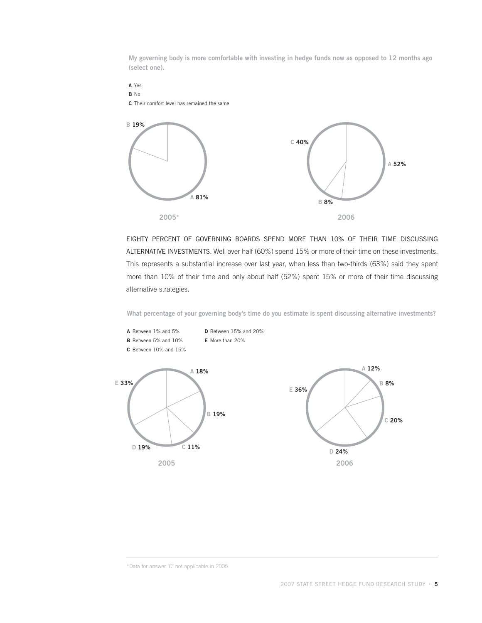**My governing body is more comfortable with investing in hedge funds now as opposed to 12 months ago (select one).**



EIGHTY PERCENT OF GOVERNING BOARDS SPEND MORE THAN 10% OF THEIR TIME DISCUSSING ALTERNATIVE INVESTMENTS. Well over half (60%) spend 15% or more of their time on these investments. This represents a substantial increase over last year, when less than two-thirds (63%) said they spent more than 10% of their time and only about half (52%) spent 15% or more of their time discussing alternative strategies.

**What percentage of your governing body's time do you estimate is spent discussing alternative investments?**



<sup>\*</sup>Data for answer 'C' not applicable in 2005.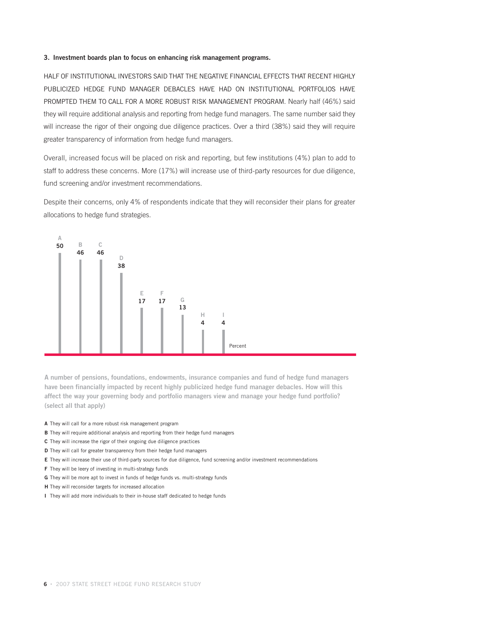#### **3. Investment boards plan to focus on enhancing risk management programs.**

HALF OF INSTITUTIONAL INVESTORS SAID THAT THE NEGATIVE FINANCIAL EFFECTS THAT RECENT HIGHLY PUBLICIZED HEDGE FUND MANAGER DEBACLES HAVE HAD ON INSTITUTIONAL PORTFOLIOS HAVE PROMPTED THEM TO CALL FOR A MORE ROBUST RISK MANAGEMENT PROGRAM. Nearly half (46%) said they will require additional analysis and reporting from hedge fund managers. The same number said they will increase the rigor of their ongoing due diligence practices. Over a third (38%) said they will require greater transparency of information from hedge fund managers.

Overall, increased focus will be placed on risk and reporting, but few institutions (4%) plan to add to staff to address these concerns. More (17%) will increase use of third-party resources for due diligence, fund screening and/or investment recommendations.

Despite their concerns, only 4% of respondents indicate that they will reconsider their plans for greater allocations to hedge fund strategies.



**A number of pensions, foundations, endowments, insurance companies and fund of hedge fund managers have been financially impacted by recent highly publicized hedge fund manager debacles. How will this affect the way your governing body and portfolio managers view and manage your hedge fund portfolio? (select all that apply)**

- **A** They will call for a more robust risk management program
- **B** They will require additional analysis and reporting from their hedge fund managers
- **C** They will increase the rigor of their ongoing due diligence practices
- **D** They will call for greater transparency from their hedge fund managers
- **E** They will increase their use of third-party sources for due diligence, fund screening and/or investment recommendations
- **F** They will be leery of investing in multi-strategy funds
- **G** They will be more apt to invest in funds of hedge funds vs. multi-strategy funds
- **H** They will reconsider targets for increased allocation
- **I** They will add more individuals to their in-house staff dedicated to hedge funds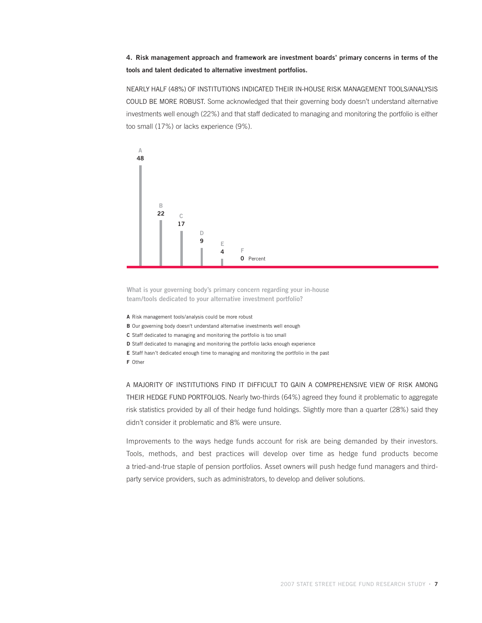#### **4. Risk management approach and framework are investment boards' primary concerns in terms of the tools and talent dedicated to alternative investment portfolios.**

NEARLY HALF (48%) OF INSTITUTIONS INDICATED THEIR IN-HOUSE RISK MANAGEMENT TOOLS/ANALYSIS COULD BE MORE ROBUST. Some acknowledged that their governing body doesn't understand alternative investments well enough (22%) and that staff dedicated to managing and monitoring the portfolio is either too small (17%) or lacks experience (9%).



**What is your governing body's primary concern regarding your in-house team/tools dedicated to your alternative investment portfolio?** 

**A** Risk management tools/analysis could be more robust

**B** Our governing body doesn't understand alternative investments well enough

**C** Staff dedicated to managing and monitoring the portfolio is too small

**D** Staff dedicated to managing and monitoring the portfolio lacks enough experience

**E** Staff hasn't dedicated enough time to managing and monitoring the portfolio in the past

**F** Other

A MAJORITY OF INSTITUTIONS FIND IT DIFFICULT TO GAIN A COMPREHENSIVE VIEW OF RISK AMONG THEIR HEDGE FUND PORTFOLIOS. Nearly two-thirds (64%) agreed they found it problematic to aggregate risk statistics provided by all of their hedge fund holdings. Slightly more than a quarter (28%) said they didn't consider it problematic and 8% were unsure.

Improvements to the ways hedge funds account for risk are being demanded by their investors. Tools, methods, and best practices will develop over time as hedge fund products become a tried-and-true staple of pension portfolios. Asset owners will push hedge fund managers and thirdparty service providers, such as administrators, to develop and deliver solutions.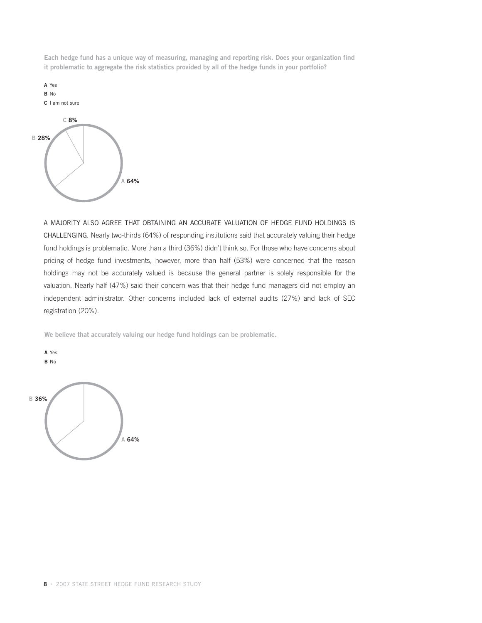**Each hedge fund has a unique way of measuring, managing and reporting risk. Does your organization find it problematic to aggregate the risk statistics provided by all of the hedge funds in your portfolio?**



A MAJORITY ALSO AGREE THAT OBTAINING AN ACCURATE VALUATION OF HEDGE FUND HOLDINGS IS CHALLENGING. Nearly two-thirds (64%) of responding institutions said that accurately valuing their hedge fund holdings is problematic. More than a third (36%) didn't think so. For those who have concerns about pricing of hedge fund investments, however, more than half (53%) were concerned that the reason holdings may not be accurately valued is because the general partner is solely responsible for the valuation. Nearly half (47%) said their concern was that their hedge fund managers did not employ an independent administrator. Other concerns included lack of external audits (27%) and lack of SEC registration (20%).

**We believe that accurately valuing our hedge fund holdings can be problematic.**



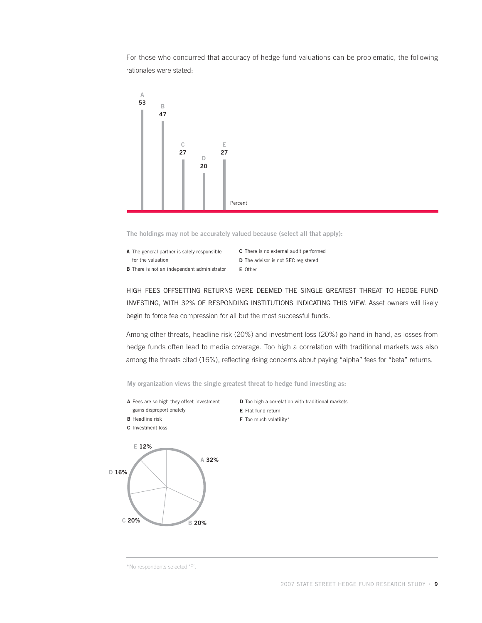For those who concurred that accuracy of hedge fund valuations can be problematic, the following rationales were stated:



**The holdings may not be accurately valued because (select all that apply):**

- **A** The general partner is solely responsible for the valuation
- **B** There is not an independent administrator

**C** There is no external audit performed **D** The advisor is not SEC registered **E** Other

HIGH FEES OFFSETTING RETURNS WERE DEEMED THE SINGLE GREATEST THREAT TO HEDGE FUND INVESTING, WITH 32% OF RESPONDING INSTITUTIONS INDICATING THIS VIEW. Asset owners will likely begin to force fee compression for all but the most successful funds.

Among other threats, headline risk (20%) and investment loss (20%) go hand in hand, as losses from hedge funds often lead to media coverage. Too high a correlation with traditional markets was also among the threats cited (16%), reflecting rising concerns about paying "alpha" fees for "beta" returns.

**My organization views the single greatest threat to hedge fund investing as:**

- **A** Fees are so high they offset investment gains disproportionately
- **B** Headline risk
- **C** Investment loss



- **D** Too high a correlation with traditional markets
- **E** Flat fund return
- **F** Too much volatility\*

\*No respondents selected 'F'.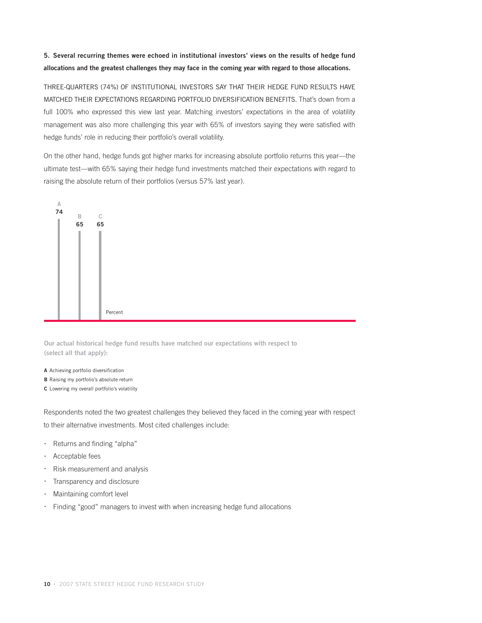## **5. Several recurring themes were echoed in institutional investors' views on the results of hedge fund allocations and the greatest challenges they may face in the coming year with regard to those allocations.**

THREE-QUARTERS (74%) OF INSTITUTIONAL INVESTORS SAY THAT THEIR HEDGE FUND RESULTS HAVE MATCHED THEIR EXPECTATIONS REGARDING PORTFOLIO DIVERSIFICATION BENEFITS. That's down from a full 100% who expressed this view last year. Matching investors' expectations in the area of volatility management was also more challenging this year with 65% of investors saying they were satisfied with hedge funds' role in reducing their portfolio's overall volatility.

On the other hand, hedge funds got higher marks for increasing absolute portfolio returns this year—the ultimate test—with 65% saying their hedge fund investments matched their expectations with regard to raising the absolute return of their portfolios (versus 57% last year).



**Our actual historical hedge fund results have matched our expectations with respect to (select all that apply):**

- **A** Achieving portfolio diversification
- **B** Raising my portfolio's absolute return
- **C** Lowering my overall portfolio's volatility

Respondents noted the two greatest challenges they believed they faced in the coming year with respect to their alternative investments. Most cited challenges include:

- · Returns and finding "alpha"
- · Acceptable fees
- · Risk measurement and analysis
- · Transparency and disclosure
- Maintaining comfort level
- Finding "good" managers to invest with when increasing hedge fund allocations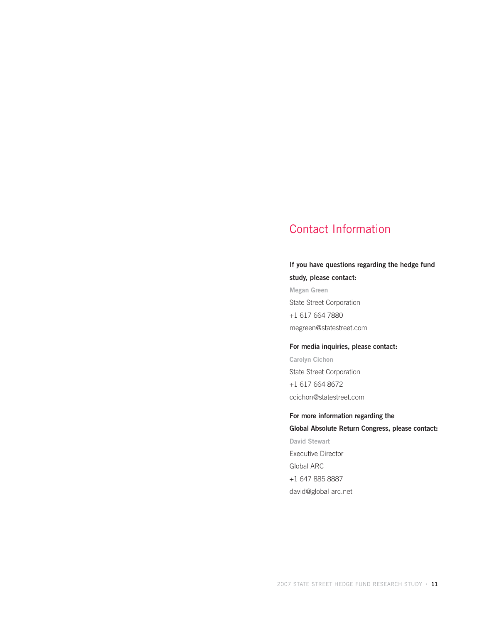## Contact Information

## **If you have questions regarding the hedge fund study, please contact:**

**Megan Green** State Street Corporation +1 617 664 7880 megreen@statestreet.com

#### **For media inquiries, please contact:**

**Carolyn Cichon** State Street Corporation +1 617 664 8672 ccichon@statestreet.com

**For more information regarding the Global Absolute Return Congress, please contact: David Stewart** Executive Director Global ARC +1 647 885 8887 david@global-arc.net